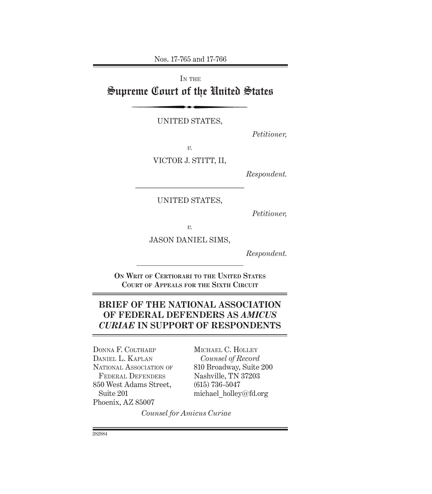Nos. 17-765 and 17-766

IN THE Supreme Court of the United States

UNITED STATES,

*Petitioner,*

*v.*

VICTOR J. STITT, II,

*Respondent.*

UNITED STATES,

––––––––––––––––––––––––––––––

*Petitioner,* 

*v.*

JASON DANIEL SIMS,

*Respondent.*

**On Writ of Certiorari to the United States Court of Appeals for the Sixth Circuit**

## **BRIEF OF THE NATIONAL ASSOCIATION OF FEDERAL DEFENDERS AS** *AMICUS CURIAE* **IN SUPPORT OF RESPONDENTS**

Donna F. Coltharp Daniel L. Kaplan NATIONAL ASSOCIATION OF Federal Defenders 850 West Adams Street, Suite 201 Phoenix, AZ 85007

Michael C. Holley *Counsel of Record* 810 Broadway, Suite 200 Nashville, TN 37203 (615) 736-5047 michael\_holley@fd.org

*Counsel for Amicus Curiae*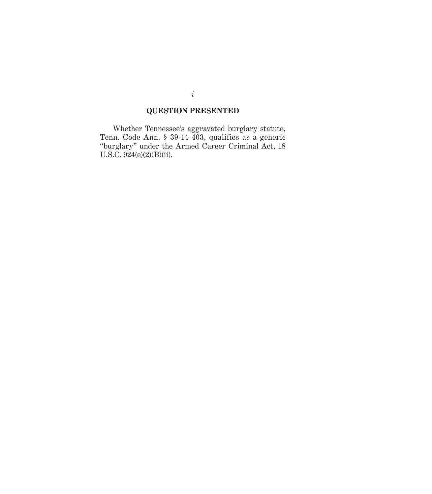#### **QUESTION PRESENTED**

Whether Tennessee's aggravated burglary statute, Tenn. Code Ann. § 39-14-403, qualifies as a generic "burglary" under the Armed Career Criminal Act, 18 U.S.C. 924(e)(2)(B)(ii).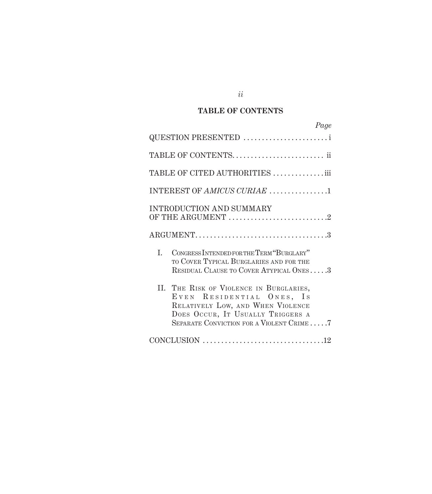## **TABLE OF CONTENTS**

| Page                                                                                                                                                                                       |
|--------------------------------------------------------------------------------------------------------------------------------------------------------------------------------------------|
| QUESTION PRESENTED                                                                                                                                                                         |
|                                                                                                                                                                                            |
| TABLE OF CITED AUTHORITIES iii                                                                                                                                                             |
| INTEREST OF AMICUS CURIAE 1                                                                                                                                                                |
| INTRODUCTION AND SUMMARY                                                                                                                                                                   |
|                                                                                                                                                                                            |
| I.<br>CONGRESS INTENDED FOR THE TERM "BURGLARY"<br>TO COVER TYPICAL BURGLARIES AND FOR THE<br>RESIDUAL CLAUSE TO COVER ATYPICAL ONES3                                                      |
| II. THE RISK OF VIOLENCE IN BURGLARIES,<br>EVEN RESIDENTIAL ONES, IS<br>RELATIVELY LOW, AND WHEN VIOLENCE<br>DOES OCCUR, IT USUALLY TRIGGERS A<br>SEPARATE CONVICTION FOR A VIOLENT CRIME7 |
|                                                                                                                                                                                            |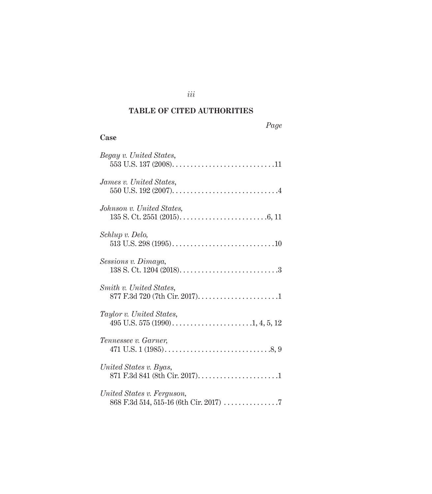# **TABLE OF CITED AUTHORITIES**

*iii*

#### *Page*

## **Case**

| Begay v. United States,        |
|--------------------------------|
| <i>James v. United States,</i> |
| Johnson v. United States,      |
| Schlup v. Delo,                |
| Sessions v. Dimaya,            |
| Smith v. United States,        |
| Taylor v. United States,       |
| Tennessee v. Garner,           |
| United States v. Byas,         |
| United States v. Ferguson,     |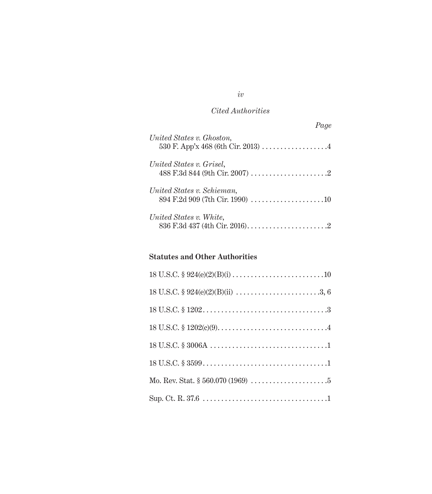## *Cited Authorities*

| Page                                                                                                                                                   |  |
|--------------------------------------------------------------------------------------------------------------------------------------------------------|--|
| United States v. Ghoston,                                                                                                                              |  |
| United States v. Grisel,<br>$488 \text{ F}.\overline{3} \text{d} 844 \text{ (9th Cir. } 2007) \dots \dots \dots \dots \dots \dots \dots \dots \dots 2$ |  |
| United States v. Schieman,                                                                                                                             |  |
| United States v. White,<br>836 F.3d 437 (4th Cir. 2016). $\dots \dots \dots \dots \dots \dots \dots \dots$                                             |  |

## **Statutes and Other Authorities**

*iv*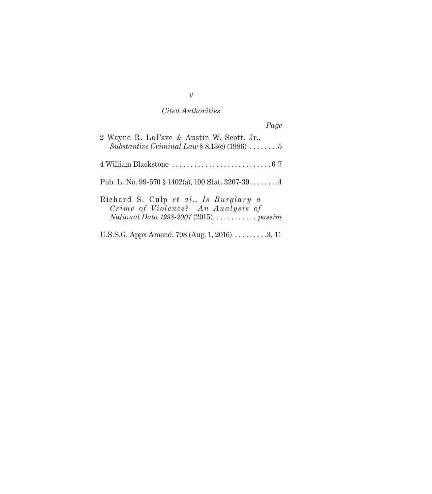#### *Cited Authorities*

*Page* 2 Wayne R. LaFave & Austin W. Scott, Jr.,

| Substantive Criminal Law $\S 8.13(c)$ (1986) 5                             |
|----------------------------------------------------------------------------|
|                                                                            |
| Pub. L. No. 99-570 § 1402(a), 100 Stat. $3207-39$ .                        |
| Richard S. Culp et al., Is Burglary a<br>Crime of Violence? An Analysis of |
| U.S.S.G. Appx Amend. 798 (Aug. 1, 2016) $\ldots \ldots \ldots 3, 11$       |

*v*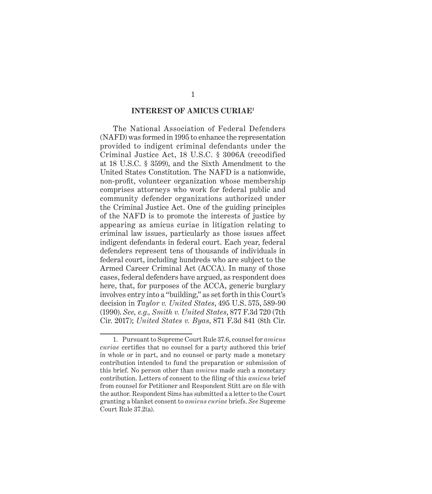#### **INTEREST OF AMICUS CURIAE1**

The National Association of Federal Defenders (NAFD) was formed in 1995 to enhance the representation provided to indigent criminal defendants under the Criminal Justice Act, 18 U.S.C. § 3006A (recodified at 18 U.S.C. § 3599), and the Sixth Amendment to the United States Constitution. The NAFD is a nationwide, non-profit, volunteer organization whose membership comprises attorneys who work for federal public and community defender organizations authorized under the Criminal Justice Act. One of the guiding principles of the NAFD is to promote the interests of justice by appearing as amicus curiae in litigation relating to criminal law issues, particularly as those issues affect indigent defendants in federal court. Each year, federal defenders represent tens of thousands of individuals in federal court, including hundreds who are subject to the Armed Career Criminal Act (ACCA). In many of those cases, federal defenders have argued, as respondent does here, that, for purposes of the ACCA, generic burglary involves entry into a "building," as set forth in this Court's decision in *Taylor v. United States*, 495 U.S. 575, 589-90 (1990). *See, e.g., Smith v. United States*, 877 F.3d 720 (7th Cir. 2017); *United States v. Byas*, 871 F.3d 841 (8th Cir.

<sup>1.</sup> Pursuant to Supreme Court Rule 37.6, counsel for *amicus curiae* certifies that no counsel for a party authored this brief in whole or in part, and no counsel or party made a monetary contribution intended to fund the preparation or submission of this brief. No person other than *amicus* made such a monetary contribution. Letters of consent to the filing of this *amicus* brief from counsel for Petitioner and Respondent Stitt are on file with the author. Respondent Sims has submitted a a letter to the Court granting a blanket consent to *amicus curiae* briefs. *See* Supreme Court Rule 37.2(a).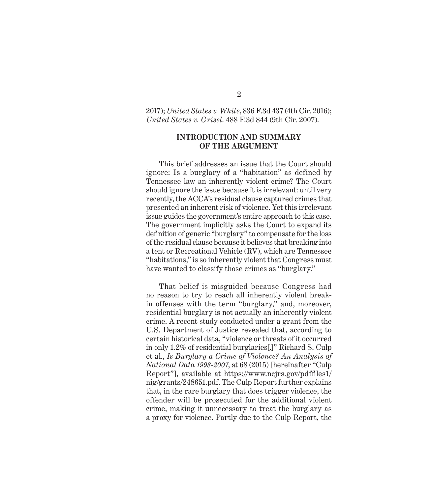2017); *United States v. White*, 836 F.3d 437 (4th Cir. 2016); *United States v. Grisel*. 488 F.3d 844 (9th Cir. 2007).

#### **INTRODUCTION AND SUMMARY OF THE ARGUMENT**

This brief addresses an issue that the Court should ignore: Is a burglary of a "habitation" as defined by Tennessee law an inherently violent crime? The Court should ignore the issue because it is irrelevant: until very recently, the ACCA's residual clause captured crimes that presented an inherent risk of violence. Yet this irrelevant issue guides the government's entire approach to this case. The government implicitly asks the Court to expand its definition of generic "burglary" to compensate for the loss of the residual clause because it believes that breaking into a tent or Recreational Vehicle (RV), which are Tennessee "habitations," is so inherently violent that Congress must have wanted to classify those crimes as "burglary."

That belief is misguided because Congress had no reason to try to reach all inherently violent breakin offenses with the term "burglary," and, moreover, residential burglary is not actually an inherently violent crime. A recent study conducted under a grant from the U.S. Department of Justice revealed that, according to certain historical data, "violence or threats of it occurred in only 1.2% of residential burglaries[.]" Richard S. Culp et al., *Is Burglary a Crime of Violence? An Analysis of National Data 1998-2007*, at 68 (2015) [hereinafter "Culp Report"], available at https://www.ncjrs.gov/pdffiles1/ nig/grants/248651.pdf. The Culp Report further explains that, in the rare burglary that does trigger violence, the offender will be prosecuted for the additional violent crime, making it unnecessary to treat the burglary as a proxy for violence. Partly due to the Culp Report, the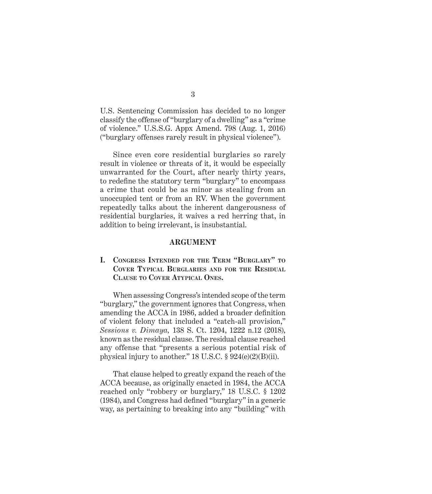U.S. Sentencing Commission has decided to no longer classify the offense of "burglary of a dwelling" as a "crime of violence." U.S.S.G. Appx Amend. 798 (Aug. 1, 2016) ("burglary offenses rarely result in physical violence").

Since even core residential burglaries so rarely result in violence or threats of it, it would be especially unwarranted for the Court, after nearly thirty years, to redefine the statutory term "burglary" to encompass a crime that could be as minor as stealing from an unoccupied tent or from an RV. When the government repeatedly talks about the inherent dangerousness of residential burglaries, it waives a red herring that, in addition to being irrelevant, is insubstantial.

#### **ARGUMENT**

**I. Congress Intended for the Term "Burglary" to Cover Typical Burglaries and for the Residual Clause to Cover Atypical Ones.**

When assessing Congress's intended scope of the term "burglary," the government ignores that Congress, when amending the ACCA in 1986, added a broader definition of violent felony that included a "catch-all provision," *Sessions v. Dimaya,* 138 S. Ct. 1204, 1222 n.12 (2018), known as the residual clause. The residual clause reached any offense that "presents a serious potential risk of physical injury to another." 18 U.S.C. § 924(e)(2)(B)(ii).

That clause helped to greatly expand the reach of the ACCA because, as originally enacted in 1984, the ACCA reached only "robbery or burglary," 18 U.S.C. § 1202 (1984), and Congress had defined "burglary" in a generic way, as pertaining to breaking into any "building" with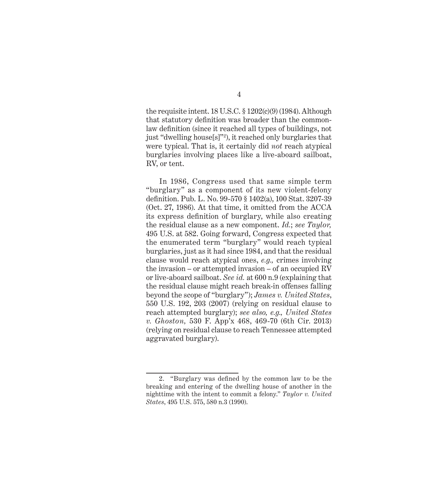the requisite intent. 18 U.S.C.  $\S 1202(c)(9)$  (1984). Although that statutory definition was broader than the commonlaw definition (since it reached all types of buildings, not just "dwelling house[s]"2 ), it reached only burglaries that were typical. That is, it certainly did *not* reach atypical burglaries involving places like a live-aboard sailboat, RV, or tent.

In 1986, Congress used that same simple term "burglary" as a component of its new violent-felony definition. Pub. L. No. 99-570 § 1402(a), 100 Stat. 3207-39 (Oct. 27, 1986). At that time, it omitted from the ACCA its express definition of burglary, while also creating the residual clause as a new component. *Id.*; *see Taylor,*  495 U.S. at 582. Going forward, Congress expected that the enumerated term "burglary" would reach typical burglaries, just as it had since 1984, and that the residual clause would reach atypical ones, *e.g.,* crimes involving the invasion – or attempted invasion – of an occupied RV or live-aboard sailboat. *See id.* at 600 n.9 (explaining that the residual clause might reach break-in offenses falling beyond the scope of "burglary"); *James v. United States*, 550 U.S. 192, 203 (2007) (relying on residual clause to reach attempted burglary); *see also, e.g., United States v. Ghoston,* 530 F. App'x 468, 469-70 (6th Cir. 2013) (relying on residual clause to reach Tennessee attempted aggravated burglary).

4

<sup>2.</sup> "Burglary was defined by the common law to be the breaking and entering of the dwelling house of another in the nighttime with the intent to commit a felony." *Taylor v. United States*, 495 U.S. 575, 580 n.3 (1990).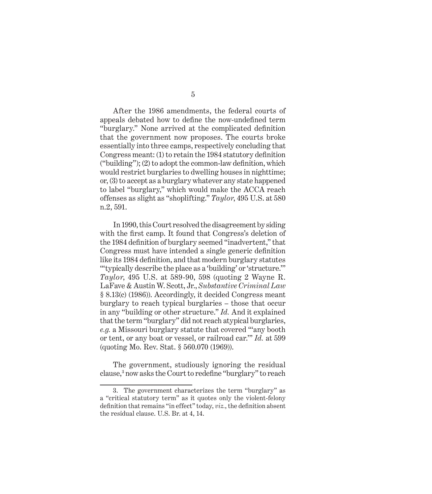After the 1986 amendments, the federal courts of appeals debated how to define the now-undefined term "burglary." None arrived at the complicated definition that the government now proposes. The courts broke essentially into three camps, respectively concluding that Congress meant: (1) to retain the 1984 statutory definition ("building"); (2) to adopt the common-law definition, which would restrict burglaries to dwelling houses in nighttime; or, (3) to accept as a burglary whatever any state happened to label "burglary," which would make the ACCA reach offenses as slight as "shoplifting." *Taylor*, 495 U.S. at 580 n.2, 591.

In 1990, this Court resolved the disagreement by siding with the first camp. It found that Congress's deletion of the 1984 definition of burglary seemed "inadvertent," that Congress must have intended a single generic definition like its 1984 definition, and that modern burglary statutes "'typically describe the place as a 'building' or 'structure.'" *Taylor*, 495 U.S. at 589-90, 598 (quoting 2 Wayne R. LaFave & Austin W. Scott, Jr., *Substantive Criminal Law*  § 8.13(c) (1986)). Accordingly, it decided Congress meant burglary to reach typical burglaries – those that occur in any "building or other structure." *Id.* And it explained that the term "burglary" did not reach atypical burglaries, *e.g.* a Missouri burglary statute that covered "'any booth or tent, or any boat or vessel, or railroad car.'" *Id.* at 599 (quoting Mo. Rev. Stat. § 560.070 (1969)).

The government, studiously ignoring the residual clause,3 now asks the Court to redefine "burglary" to reach

<sup>3.</sup> The government characterizes the term "burglary" as a "critical statutory term" as it quotes only the violent-felony definition that remains "in effect" today, *viz.*, the definition absent the residual clause. U.S. Br. at 4, 14.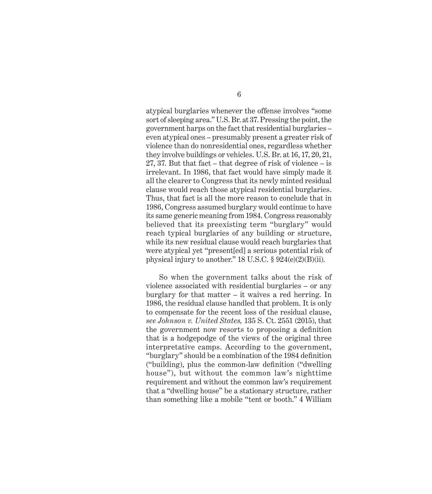atypical burglaries whenever the offense involves "some sort of sleeping area." U.S. Br. at 37. Pressing the point, the government harps on the fact that residential burglaries – even atypical ones – presumably present a greater risk of violence than do nonresidential ones, regardless whether they involve buildings or vehicles. U.S. Br. at 16, 17, 20, 21, 27, 37. But that fact – that degree of risk of violence – is irrelevant. In 1986, that fact would have simply made it all the clearer to Congress that its newly minted residual clause would reach those atypical residential burglaries. Thus, that fact is all the more reason to conclude that in 1986, Congress assumed burglary would continue to have its same generic meaning from 1984. Congress reasonably believed that its preexisting term "burglary" would reach typical burglaries of any building or structure, while its new residual clause would reach burglaries that were atypical yet "present[ed] a serious potential risk of physical injury to another." 18 U.S.C.  $\S 924(e)(2)(B)(ii)$ .

So when the government talks about the risk of violence associated with residential burglaries – or any burglary for that matter – it waives a red herring. In 1986, the residual clause handled that problem. It is only to compensate for the recent loss of the residual clause, *see Johnson v. United States,* 135 S. Ct. 2551 (2015), that the government now resorts to proposing a definition that is a hodgepodge of the views of the original three interpretative camps. According to the government, "burglary" should be a combination of the 1984 definition ("building), plus the common-law definition ("dwelling house"), but without the common law's nighttime requirement and without the common law's requirement that a "dwelling house" be a stationary structure, rather than something like a mobile "tent or booth." 4 William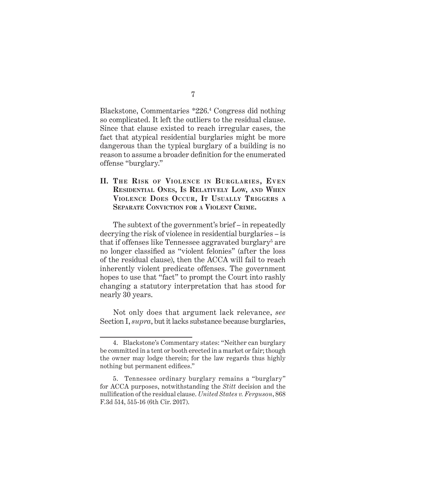Blackstone, Commentaries \*226.4 Congress did nothing so complicated. It left the outliers to the residual clause. Since that clause existed to reach irregular cases, the fact that atypical residential burglaries might be more dangerous than the typical burglary of a building is no reason to assume a broader definition for the enumerated offense "burglary."

#### II. THE RISK OF VIOLENCE IN BURGLARIES, EVEN **Residential Ones, Is Relatively Low, and When Violence Does Occur, It Usually Triggers <sup>a</sup> Separate Conviction for <sup>a</sup> Violent Crime.**

The subtext of the government's brief – in repeatedly decrying the risk of violence in residential burglaries – is that if offenses like Tennessee aggravated burglary<sup>5</sup> are no longer classified as "violent felonies" (after the loss of the residual clause), then the ACCA will fail to reach inherently violent predicate offenses. The government hopes to use that "fact" to prompt the Court into rashly changing a statutory interpretation that has stood for nearly 30 years.

Not only does that argument lack relevance, *see*  Section I, *supra*, but it lacks substance because burglaries,

<sup>4.</sup> Blackstone's Commentary states: "Neither can burglary be committed in a tent or booth erected in a market or fair; though the owner may lodge therein; for the law regards thus highly nothing but permanent edifices."

<sup>5.</sup> Tennessee ordinary burglary remains a "burglary" for ACCA purposes, notwithstanding the *Stitt* decision and the nullification of the residual clause. *United States v. Ferguson*, 868 F.3d 514, 515-16 (6th Cir. 2017).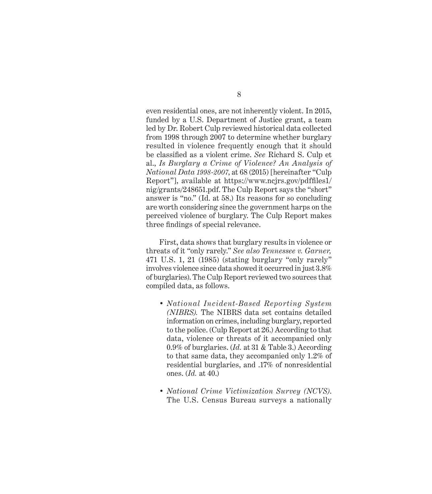even residential ones, are not inherently violent. In 2015, funded by a U.S. Department of Justice grant, a team led by Dr. Robert Culp reviewed historical data collected from 1998 through 2007 to determine whether burglary resulted in violence frequently enough that it should be classified as a violent crime. *See* Richard S. Culp et al., *Is Burglary a Crime of Violence? An Analysis of National Data 1998-2007*, at 68 (2015) [hereinafter "Culp Report"], available at https://www.ncjrs.gov/pdffiles1/ nig/grants/248651.pdf. The Culp Report says the "short" answer is "no." (Id. at 58.) Its reasons for so concluding are worth considering since the government harps on the perceived violence of burglary. The Culp Report makes three findings of special relevance.

First, data shows that burglary results in violence or threats of it "only rarely." *See also Tennessee v. Garner,*  471 U.S. 1, 21 (1985) (stating burglary "only rarely" involves violence since data showed it occurred in just 3.8% of burglaries). The Culp Report reviewed two sources that compiled data, as follows.

- *• National Incident-Based Reporting System (NIBRS).* The NIBRS data set contains detailed information on crimes, including burglary, reported to the police. (Culp Report at 26.) According to that data, violence or threats of it accompanied only 0.9% of burglaries. (*Id.* at 31 & Table 3.) According to that same data, they accompanied only 1.2% of residential burglaries, and .17% of nonresidential ones. (*Id.* at 40.)
- *• National Crime Victimization Survey (NCVS)*. The U.S. Census Bureau surveys a nationally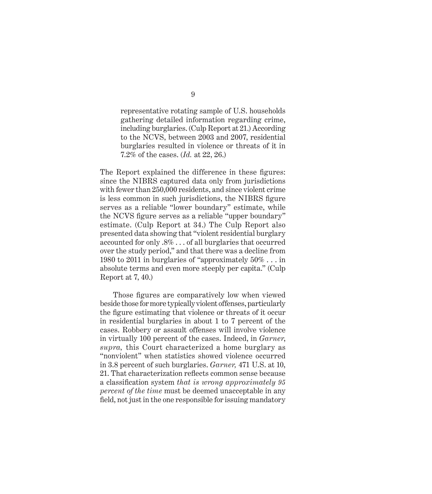representative rotating sample of U.S. households gathering detailed information regarding crime, including burglaries. (Culp Report at 21.) According to the NCVS, between 2003 and 2007, residential burglaries resulted in violence or threats of it in 7.2% of the cases. (*Id.* at 22, 26.)

The Report explained the difference in these figures: since the NIBRS captured data only from jurisdictions with fewer than 250,000 residents, and since violent crime is less common in such jurisdictions, the NIBRS figure serves as a reliable "lower boundary" estimate, while the NCVS figure serves as a reliable "upper boundary" estimate. (Culp Report at 34.) The Culp Report also presented data showing that "violent residential burglary accounted for only .8% . . . of all burglaries that occurred over the study period," and that there was a decline from 1980 to 2011 in burglaries of "approximately 50% . . . in absolute terms and even more steeply per capita." (Culp Report at 7, 40.)

Those figures are comparatively low when viewed beside those for more typically violent offenses, particularly the figure estimating that violence or threats of it occur in residential burglaries in about 1 to 7 percent of the cases. Robbery or assault offenses will involve violence in virtually 100 percent of the cases. Indeed, in *Garner*, *supra,* this Court characterized a home burglary as "nonviolent" when statistics showed violence occurred in 3.8 percent of such burglaries. *Garner,* 471 U.S. at 10, 21. That characterization reflects common sense because a classification system *that is wrong approximately 95 percent of the time* must be deemed unacceptable in any field, not just in the one responsible for issuing mandatory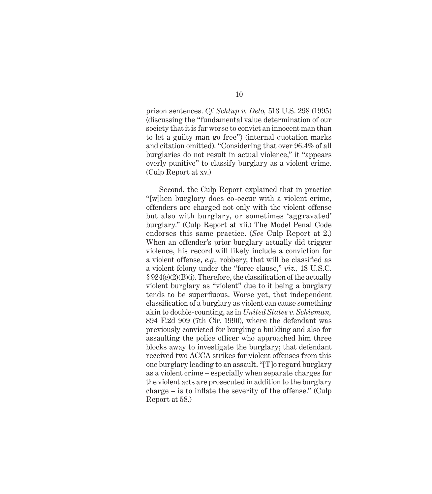prison sentences. *Cf. Schlup v. Delo,* 513 U.S. 298 (1995) (discussing the "fundamental value determination of our society that it is far worse to convict an innocent man than to let a guilty man go free") (internal quotation marks and citation omitted). "Considering that over 96.4% of all burglaries do not result in actual violence," it "appears overly punitive" to classify burglary as a violent crime. (Culp Report at xv.)

Second, the Culp Report explained that in practice "[w]hen burglary does co-occur with a violent crime, offenders are charged not only with the violent offense but also with burglary, or sometimes 'aggravated' burglary." (Culp Report at xii.) The Model Penal Code endorses this same practice. (*See* Culp Report at 2.) When an offender's prior burglary actually did trigger violence, his record will likely include a conviction for a violent offense, *e.g.,* robbery, that will be classified as a violent felony under the "force clause," *viz.,* 18 U.S.C. § 924(e)(2)(B)(i). Therefore, the classification of the actually violent burglary as "violent" due to it being a burglary tends to be superfluous. Worse yet, that independent classification of a burglary as violent can cause something akin to double-counting, as in *United States v. Schieman,*  894 F.2d 909 (7th Cir. 1990), where the defendant was previously convicted for burgling a building and also for assaulting the police officer who approached him three blocks away to investigate the burglary; that defendant received two ACCA strikes for violent offenses from this one burglary leading to an assault. "[T]o regard burglary as a violent crime – especially when separate charges for the violent acts are prosecuted in addition to the burglary charge – is to inflate the severity of the offense." (Culp Report at 58.)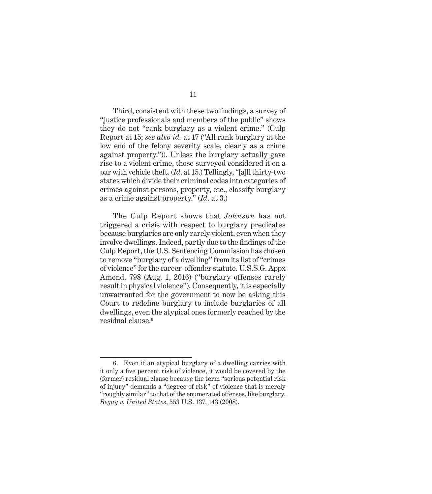Third, consistent with these two findings, a survey of "justice professionals and members of the public" shows they do not "rank burglary as a violent crime." (Culp Report at 15; *see also id.* at 17 ("All rank burglary at the low end of the felony severity scale, clearly as a crime against property.")). Unless the burglary actually gave rise to a violent crime, those surveyed considered it on a par with vehicle theft. (*Id*. at 15.) Tellingly, "[a]ll thirty-two states which divide their criminal codes into categories of crimes against persons, property, etc., classify burglary as a crime against property." (*Id*. at 3.)

The Culp Report shows that *Johnson* has not triggered a crisis with respect to burglary predicates because burglaries are only rarely violent, even when they involve dwellings. Indeed, partly due to the findings of the Culp Report, the U.S. Sentencing Commission has chosen to remove "burglary of a dwelling" from its list of "crimes of violence" for the career-offender statute. U.S.S.G. Appx Amend. 798 (Aug. 1, 2016) ("burglary offenses rarely result in physical violence"). Consequently, it is especially unwarranted for the government to now be asking this Court to redefine burglary to include burglaries of all dwellings, even the atypical ones formerly reached by the residual clause.6

11

<sup>6.</sup> Even if an atypical burglary of a dwelling carries with it only a five percent risk of violence, it would be covered by the (former) residual clause because the term "serious potential risk of injury" demands a "degree of risk" of violence that is merely "roughly similar" to that of the enumerated offenses, like burglary. *Begay v. United States*, 553 U.S. 137, 143 (2008).